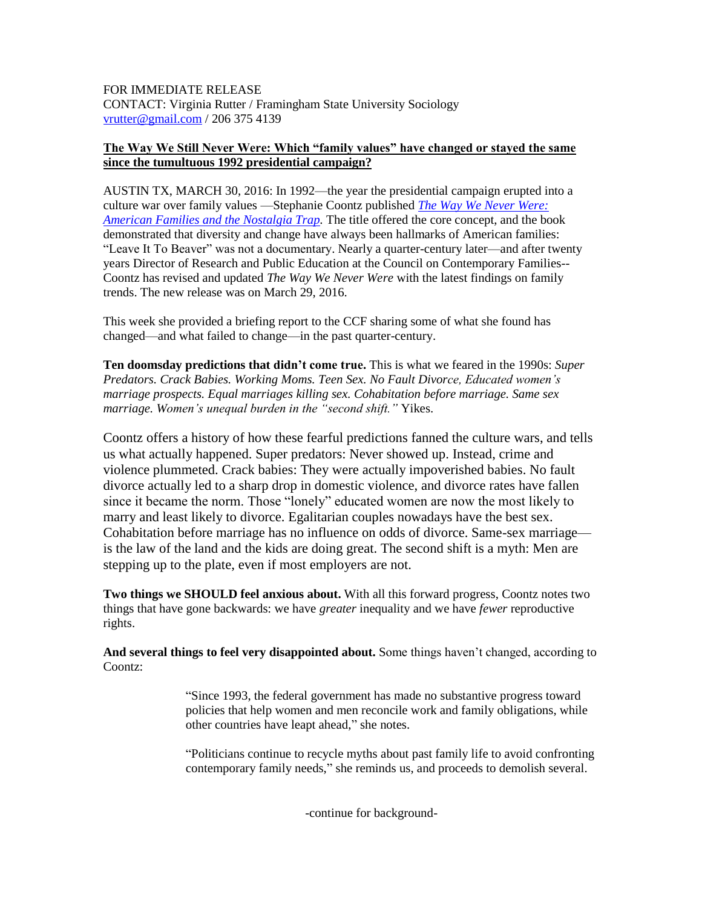## FOR IMMEDIATE RELEASE CONTACT: Virginia Rutter / Framingham State University Sociology [vrutter@gmail.com](mailto:vrutter@gmail.com) / 206 375 4139

## **The Way We Still Never Were: Which "family values" have changed or stayed the same since the tumultuous 1992 presidential campaign?**

AUSTIN TX, MARCH 30, 2016: In 1992—the year the presidential campaign erupted into a culture war over family values —Stephanie Coontz published *[The Way We Never Were:](http://www.amazon.com/The-Way-Never-Were-Nostalgia/dp/0465098835?ie=UTF8&keywords=the%20way%20we%20never%20were%202016&qid=1459036466&ref_=sr_1_1&sr=8-1)  [American Families and the Nostalgia Trap.](http://www.amazon.com/The-Way-Never-Were-Nostalgia/dp/0465098835?ie=UTF8&keywords=the%20way%20we%20never%20were%202016&qid=1459036466&ref_=sr_1_1&sr=8-1)* The title offered the core concept, and the book demonstrated that diversity and change have always been hallmarks of American families: "Leave It To Beaver" was not a documentary. Nearly a quarter-century later—and after twenty years Director of Research and Public Education at the Council on Contemporary Families-- Coontz has revised and updated *The Way We Never Were* with the latest findings on family trends. The new release was on March 29, 2016.

This week she provided a briefing report to the CCF sharing some of what she found has changed—and what failed to change—in the past quarter-century.

**Ten doomsday predictions that didn't come true.** This is what we feared in the 1990s: *Super Predators. Crack Babies. Working Moms. Teen Sex. No Fault Divorce, Educated women's marriage prospects. Equal marriages killing sex. Cohabitation before marriage. Same sex marriage. Women's unequal burden in the "second shift."* Yikes.

Coontz offers a history of how these fearful predictions fanned the culture wars, and tells us what actually happened. Super predators: Never showed up. Instead, crime and violence plummeted. Crack babies: They were actually impoverished babies. No fault divorce actually led to a sharp drop in domestic violence, and divorce rates have fallen since it became the norm. Those "lonely" educated women are now the most likely to marry and least likely to divorce. Egalitarian couples nowadays have the best sex. Cohabitation before marriage has no influence on odds of divorce. Same-sex marriage is the law of the land and the kids are doing great. The second shift is a myth: Men are stepping up to the plate, even if most employers are not.

**Two things we SHOULD feel anxious about.** With all this forward progress, Coontz notes two things that have gone backwards: we have *greater* inequality and we have *fewer* reproductive rights.

**And several things to feel very disappointed about.** Some things haven't changed, according to Coontz:

> "Since 1993, the federal government has made no substantive progress toward policies that help women and men reconcile work and family obligations, while other countries have leapt ahead," she notes.

"Politicians continue to recycle myths about past family life to avoid confronting contemporary family needs," she reminds us, and proceeds to demolish several.

-continue for background-